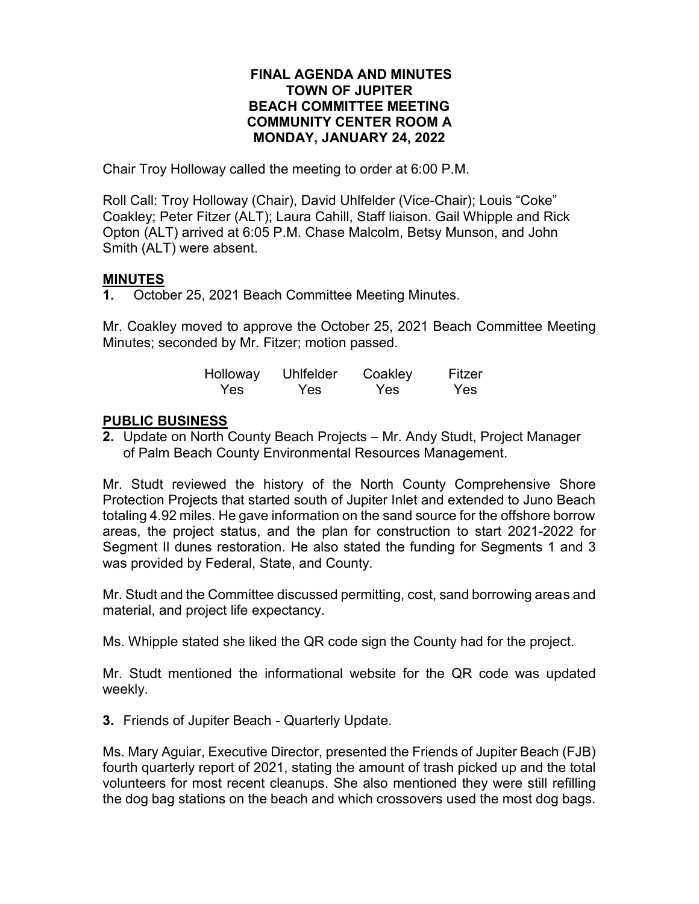## **FINAL AGENDA AND MINUTES TOWN OF JUPITER BEACH COMMITTEE MEETING COMMUNITY CENTER ROOM A MONDAY, JANUARY 24, 2022**

Chair Troy Holloway called the meeting to order at 6:00 P.M.

Roll Call: Troy Holloway (Chair), David Uhlfelder (Vice-Chair); Louis "Coke" Coakley; Peter Fitzer (ALT); Laura Cahill, Staff liaison. Gail Whipple and Rick Opton (ALT) arrived at 6:05 P.M. Chase Malcolm, Betsy Munson, and John Smith (ALT) were absent.

## **MINUTES**

**1.** October 25, 2021 Beach Committee Meeting Minutes.

Mr. Coakley moved to approve the October 25, 2021 Beach Committee Meeting Minutes; seconded by Mr. Fitzer; motion passed.

| Holloway | <b>Uhlfelder</b> | Coakley | Fitzer |
|----------|------------------|---------|--------|
| Yes.     | <b>Yes</b>       | Yes     | Yes    |

## **PUBLIC BUSINESS**

**2.** Update on North County Beach Projects – Mr. Andy Studt, Project Manager of Palm Beach County Environmental Resources Management.

Mr. Studt reviewed the history of the North County Comprehensive Shore Protection Projects that started south of Jupiter Inlet and extended to Juno Beach totaling 4.92 miles. He gave information on the sand source for the offshore borrow areas, the project status, and the plan for construction to start 2021-2022 for Segment Il dunes restoration. He also stated the funding for Segments 1 and 3 was provided by Federal, State, and County.

Mr. Studt and the Committee discussed permitting, cost, sand borrowing areas and material, and project life expectancy.

Ms. Whipple stated she liked the QR code sign the County had for the project.

Mr. Studt mentioned the informational website for the QR code was updated weekly.

**3.** Friends of Jupiter Beach - Quarterly Update.

Ms. Mary Aguiar, Executive Director, presented the Friends of Jupiter Beach (FJB) fourth quarterly report of 2021, stating the amount of trash picked up and the total volunteers for most recent cleanups. She also mentioned they were still refilling the dog bag stations on the beach and which crossovers used the most dog bags.